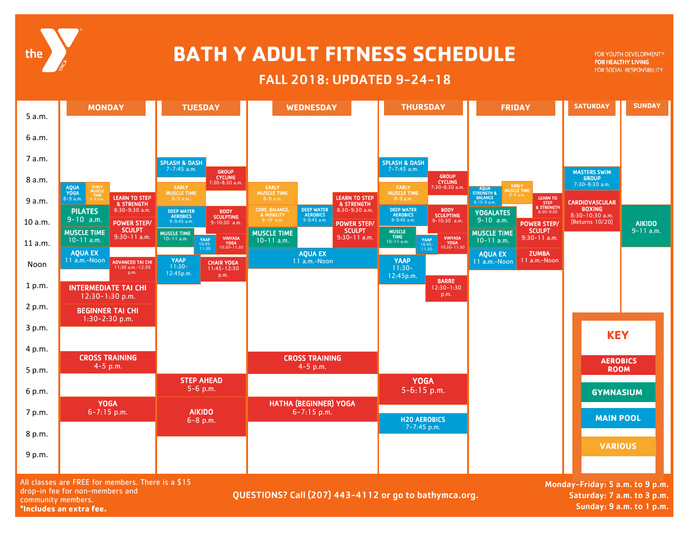

## **BATH Y ADULT FITNESS SCHEDULE**

## FALL 2018: UPDATED 9-24-18

FOR YOUTH DEVELOPMENT® FOR HEALTHY LIVING FOR SOCIAL RESPONSIBILITY



**\*Includes an extra fee.** 

Sunday: 9 a.m. to 1 p.m.